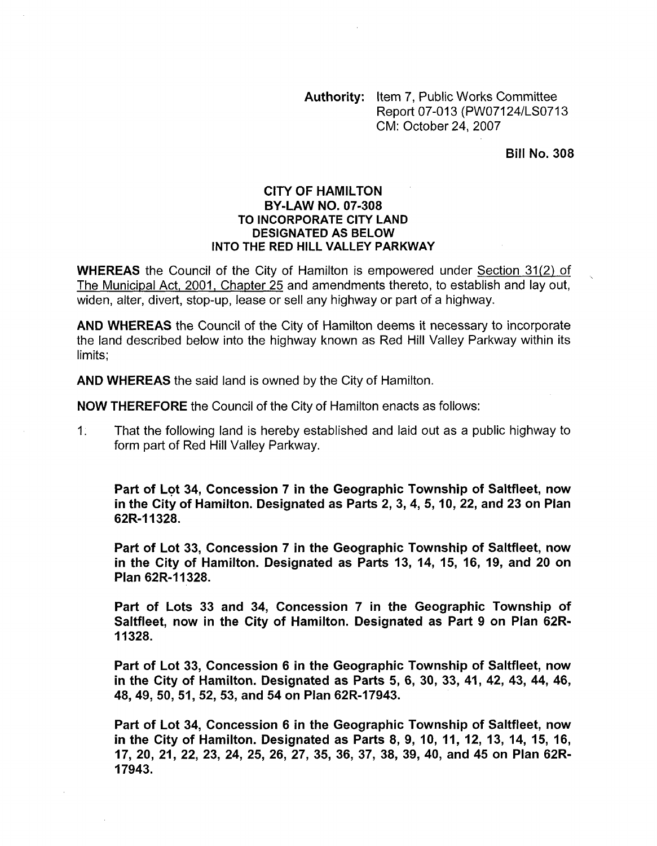Authority: Item 7, Public Works Committee Report 07-013 (PW07124/LS0713) CM: October 24,2007

Bill No. **308** 

## CITY **OF** HAMILTON TO INCORPORATE CITY LAND DESIGNATED AS BELOW INTO THE RED HILL VALLEY PARKWAY BY-LAW NO. **07-308**

**WHEREAS** the Council of the City of Hamilton is empowered under Section 31(2) of The Municipal Act, 2001, Chapter 25 and amendments thereto, to establish and lay out, widen, alter, divert, stop-up, lease or sell any highway or part of a highway.

AND **WHEREAS** the Council of the City of Hamilton deems it necessary to incorporate the land described below into the highway known as Red Hill Valley Parkway within its limits;

AND **WHEREAS** the said land is owned by the City of Hamilton.

**NOW THEREFORE** the Council of the City of Hamilton enacts as follows:

1. That the following land is hereby established and laid out as a public highway to form part of Red Hill Valley Parkway.

Part of Lot **34,** Concession 7 in the Geographic Township of Saltfleet, now in the City of Hamilton. Designated as Parts **2, 3,4,** 5, **10, 22,** and **23** on Plan **62R-I 1328.** 

Part of Lot **33,** Concession **7** in the Geographic Township of Saltfleet, now in the City of Hamilton. Designated as Parts **13, 14, 15, 16, 19,** and **20** on Plan **62R-I 1328.** 

Part of Lots **33** and **34,** Concession **7** in the Geographic Township of Saltfleet, now in the City of Hamilton. Designated as Part 9 on Plan **62R-I1 328.** 

Part of Lot **33,** Concession **6** in the Geographic Township of Saltfleet, now in the City of Hamilton. Designated as Parts 5, 6, **30, 33, 41, 42, 43, 44, 46, 48,49, 50, 51,52, 53,** and **54** on Plan **62R-17943.** 

Part of Lot **34,** Concession **6** in the Geographic Township of Saltfleet, now in the City of Hamilton. Designated as Parts **8, 9, 10, 11, 12, 13, 14, 15, 16, 17, 20, 21, 22, 23, 24, 25, 26, 27, 35, 36, 37, 38, 39, 40,** and **45** on Plan **62R-17943.**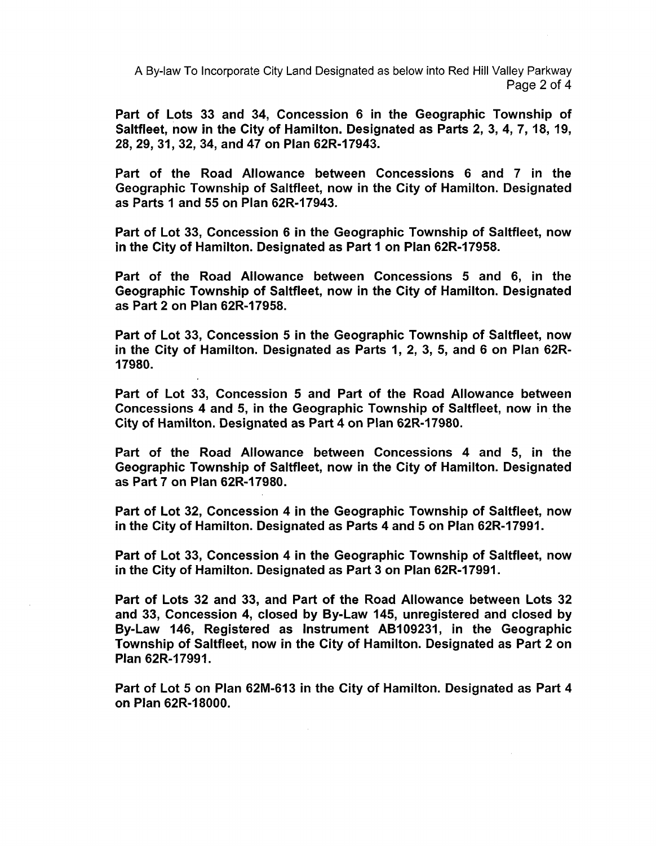A By-law To Incorporate City Land Designated as below into Red Hill Valley Parkway Page 2 of **4** 

Part of Lots **33** and **34,** Concession **6** in the Geographic Township of Saltfleet, now in the City of Hamilton. Designated as Parts **2, 3, 4, 7, 18, 19, 28,29, 31, 32, 34,** and **47** on Plan **62R-17943.** 

Part of the Road Allowance between Concessions **6** and **7** in the Geographic Township of Saltfleet, now in the City of Hamilton. Designated as Parts I and 55 on Plan **62R-17943.** 

Part of Lot **33,** Concession **6** in the Geographic Township of Saltfleet, now in the City of Hamilton. Designated as Part **1** on Plan **62R-17958.** 

Part of the Road Allowance between Concessions 5 and **6,** in the Geographic Township of Saltfleet, now in the City of Hamilton. Designated as Part **2** on Plan **62R-17958.** 

Part of Lot **33,** Concession 5 in the Geographic Township of Saltfleet, now in the City of Hamilton. Designated as Parts **1, 2, 3, 5,** and **6** on Plan **62R-17980.** 

Part of Lot **33,** Concession 5 and Part of the Road Allowance between Concessions **4** and 5, in the Geographic Township of Saltfleet, now in the City of Hamilton. Designated as Part 4 on Plan **62R-17980.** 

Part of the Road Allowance between Concessions **4** and 5, in the Geographic Township of Saltfleet, now in the City of Hamilton. Designated as Part **7** on Plan **62R-17980.** 

Part of Lot **32,** Concession **4** in the Geographic Township of Saltfleet, now in the City of Hamilton. Designated as Parts **4** and 5 on Plan **62R-17991.** 

Part of Lot **33,** Concession **4** in the Geographic Township of Saltfleet, now in the City of Hamilton. Designated as Part **3** on Plan **62R-17991.** 

Part of Lots **32** and **33,** and Part of the Road Allowance between Lots **32**  and **33,** Concession **4,** closed by By-Law **145,** unregistered and closed by By-Law **146,** Registered as Instrument **AB109231,** in the Geographic Township of Saltfleet, now in the City **of** Hamilton. Designated as Part **2** on Plan **62R-17991.** 

Part of Lot 5 on Plan **62M-613** in the City of Hamilton. Designated as Part **4**  on Plan **62R-18000.**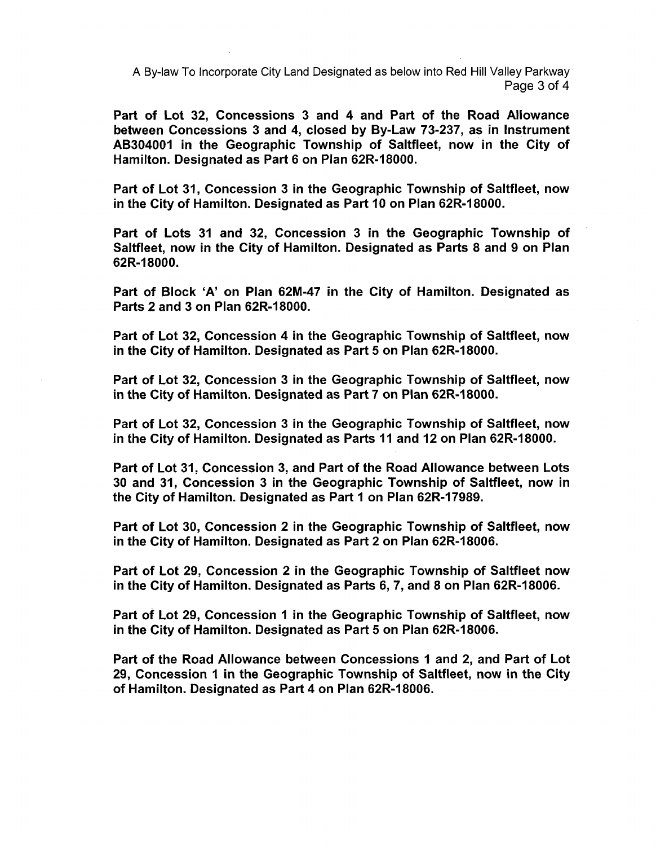**A** By-law To Incorporate City Land Designated as below into Red Hill Valley Parkway Page 3 of 4

Part of Lot **32,** Concessions **3** and 4 and Part of the Road Allowance between Concessions **3** and **4,** closed by By-Law **73-237,** as in Instrument **AB304001** in the Geographic Township of Saltfleet, now in the City of Hamilton. Designated as Part **6** on Plan **62R-18000.** 

Part of Lot **31,** Concession **3** in the Geographic Township of Saltfleet, now in the City of Hamilton. Designated as Part **10** on Plan **62R-18000.** 

Part of Lots **31** and **32,** Concession **3** in the Geographic Township of Saltfleet, now in the City of Hamilton. Designated as Parts **8** and **9** on Plan **62R-I 8000.** 

Part of Block 'A' on Plan **62M-47** in the City of Hamilton. Designated as Parts **2** and **3** on Plan **62R-18000.** 

Part of Lot **32,** Concession 4 in the Geographic Township of Saltfleet, now in the City of Hamilton. Designated as Part 5 on Plan **62R-18000.** 

Part of Lot **32,** Concession **3** in the Geographic Township of Saltfleet, now in the City of Hamilton. Designated as Part 7 on Plan **62R-18000.** 

Part of Lot **32,** Concession **3** in the Geographic Township of Saltfleet, now in the City of Hamilton. Designated as Parts **I1** and **12** on Plan **62R-18000.** 

Part of Lot **31,** Concession **3,** and Part of the Road Allowance between Lots **30** and **31,** Concession **3** in the Geographic Township of Saltfleet, now in the City of Hamilton. Designated as Part **1** on Plan **62R-17989.** 

Part of Lot **30,** Concession **2** in the Geographic Township of Saltfleet, now in the City of Hamilton. Designated as Part **2** on Plan **62R-18006.** 

Part of Lot **29,** Concession **2** in the Geographic Township of Saltfleet now in the City of Hamilton. Designated as Parts **6, 7,** and **8** on Plan **62R-18006.** 

Part of Lot **29,** Concession **I** in the Geographic Township of Saltfleet, now in the City of Hamilton. Designated as Part 5 on Plan **62R-18006.** 

Part of the Road Allowance between Concessions **1** and **2,** and Part of Lot **29,** Concession **I** in the Geographic Township of Saltfleet, now in the City of Hamilton. Designated as Part **4** on Plan **62R-18006.**